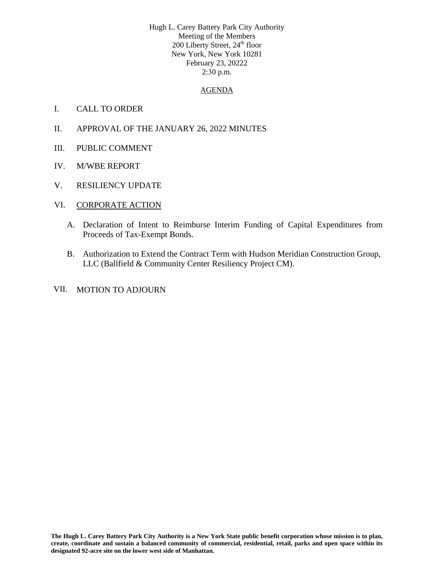Hugh L. Carey Battery Park City Authority Meeting of the Members 200 Liberty Street, 24<sup>th</sup> floor New York, New York 10281 February 23, 20222 2:30 p.m.

## AGENDA

- I. CALL TO ORDER
- II. APPROVAL OF THE JANUARY 26, 2022 MINUTES
- III. PUBLIC COMMENT
- IV. M/WBE REPORT
- V. RESILIENCY UPDATE
- VI. CORPORATE ACTION
	- A. Declaration of Intent to Reimburse Interim Funding of Capital Expenditures from Proceeds of Tax-Exempt Bonds.
	- B. Authorization to Extend the Contract Term with Hudson Meridian Construction Group, LLC (Ballfield & Community Center Resiliency Project CM).
- VII. MOTION TO ADJOURN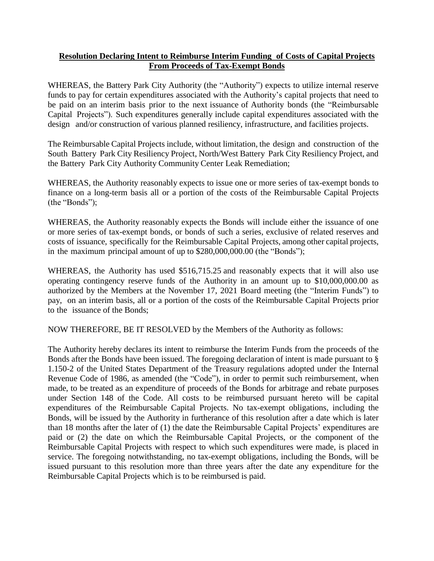## **Resolution Declaring Intent to Reimburse Interim Funding of Costs of Capital Projects From Proceeds of Tax-Exempt Bonds**

WHEREAS, the Battery Park City Authority (the "Authority") expects to utilize internal reserve funds to pay for certain expenditures associated with the Authority's capital projects that need to be paid on an interim basis prior to the next issuance of Authority bonds (the "Reimbursable Capital Projects"). Such expenditures generally include capital expenditures associated with the design and/or construction of various planned resiliency, infrastructure, and facilities projects.

The Reimbursable Capital Projects include, without limitation, the design and construction of the South Battery Park City Resiliency Project, North/West Battery Park City Resiliency Project, and the Battery Park City Authority Community Center Leak Remediation;

WHEREAS, the Authority reasonably expects to issue one or more series of tax-exempt bonds to finance on a long-term basis all or a portion of the costs of the Reimbursable Capital Projects (the "Bonds");

WHEREAS, the Authority reasonably expects the Bonds will include either the issuance of one or more series of tax-exempt bonds, or bonds of such a series, exclusive of related reserves and costs of issuance, specifically for the Reimbursable Capital Projects, among other capital projects, in the maximum principal amount of up to \$280,000,000.00 (the "Bonds");

WHEREAS, the Authority has used \$516,715.25 and reasonably expects that it will also use operating contingency reserve funds of the Authority in an amount up to \$10,000,000.00 as authorized by the Members at the November 17, 2021 Board meeting (the "Interim Funds") to pay, on an interim basis, all or a portion of the costs of the Reimbursable Capital Projects prior to the issuance of the Bonds;

NOW THEREFORE, BE IT RESOLVED by the Members of the Authority as follows:

The Authority hereby declares its intent to reimburse the Interim Funds from the proceeds of the Bonds after the Bonds have been issued. The foregoing declaration of intent is made pursuant to § 1.150-2 of the United States Department of the Treasury regulations adopted under the Internal Revenue Code of 1986, as amended (the "Code"), in order to permit such reimbursement, when made, to be treated as an expenditure of proceeds of the Bonds for arbitrage and rebate purposes under Section 148 of the Code. All costs to be reimbursed pursuant hereto will be capital expenditures of the Reimbursable Capital Projects. No tax-exempt obligations, including the Bonds, will be issued by the Authority in furtherance of this resolution after a date which is later than 18 months after the later of (1) the date the Reimbursable Capital Projects' expenditures are paid or (2) the date on which the Reimbursable Capital Projects, or the component of the Reimbursable Capital Projects with respect to which such expenditures were made, is placed in service. The foregoing notwithstanding, no tax-exempt obligations, including the Bonds, will be issued pursuant to this resolution more than three years after the date any expenditure for the Reimbursable Capital Projects which is to be reimbursed is paid.